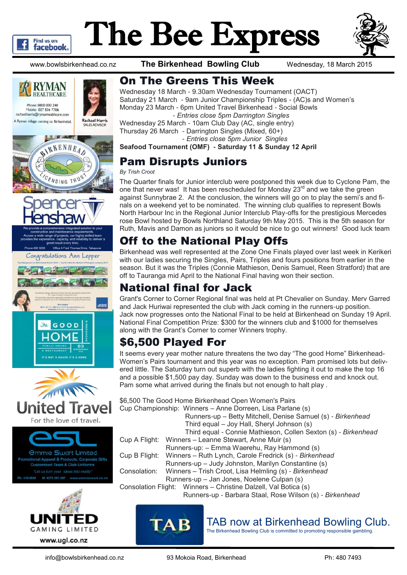

# The Bee Express



www.bowlsbirkenhead.co.nz **The Birkenhead Bowling Club** Wednesday, 18 March 2015









#### On The Greens This Week

Wednesday 18 March - 9.30am Wednesday Tournament (OACT) Saturday 21 March - 9am Junior Championship Triples - (AC)s and Women's Monday 23 March - 6pm United Travel Birkenhead - Social Bowls - *Entries close 5pm Darrington Singles*

Wednesday 25 March - 10am Club Day (AC, single entry) Thursday 26 March - Darrington Singles (Mixed, 60+)

- *Entries close 5pm Junior Singles*

**Seafood Tournament (OMF) - Saturday 11 & Sunday 12 April**

#### Pam Disrupts Juniors

#### *By Trish Croot*

The Quarter finals for Junior interclub were postponed this week due to Cyclone Pam, the one that never was! It has been rescheduled for Monday 23<sup>rd</sup> and we take the green against Sunnybrae 2. At the conclusion, the winners will go on to play the semi's and finals on a weekend yet to be nominated. The winning club qualifies to represent Bowls North Harbour Inc in the Regional Junior Interclub Play-offs for the prestigious Mercedes rose Bowl hosted by Bowls Northland Saturday 9th May 2015. This is the 5th season for Ruth, Mavis and Damon as juniors so it would be nice to go out winners! Good luck team

#### Off to the National Play Offs

Birkenhead was well represented at the Zone One Finals played over last week in Kerikeri with our ladies securing the Singles, Pairs, Triples and fours positions from earlier in the season. But it was the Triples (Connie Mathieson, Denis Samuel, Reen Stratford) that are off to Tauranga mid April to the National Final having won their section.

#### National final for Jack

Grant's Corner to Corner Regional final was held at Pt Chevalier on Sunday. Merv Garred and Jack Huriwai represented the club with Jack coming in the runners-up position. Jack now progresses onto the National Final to be held at Birkenhead on Sunday 19 April. National Final Competition Prize: \$300 for the winners club and \$1000 for themselves along with the Grant's Corner to corner Winners trophy.

### \$6,500 Played For

It seems every year mother nature threatens the two day "The good Home" Birkenhead-Women's Pairs tournament and this year was no exception. Pam promised lots but delivered little. The Saturday turn out superb with the ladies fighting it out to make the top 16 and a possible \$1,500 pay day. Sunday was down to the business end and knock out. Pam some what arrived during the finals but not enough to halt play .

\$6,500 The Good Home Birkenhead Open Women's Pairs Cup Championship: Winners – Anne Dorreen, Lisa Parlane (s)

- Runners-up Betty Mitchell, Denise Samuel (s) *- Birkenhead* Third equal – Joy Hall, Sheryl Johnson (s)
- Third equal Connie Mathieson, Collen Sexton (s) *- Birkenhead*

Cup A Flight: Winners – Leanne Stewart, Anne Muir (s)

Runners-up: – Emma Waerehu, Ray Hammond (s)

Cup B Flight: Winners – Ruth Lynch, Carole Fredrick (s) *- Birkenhead*

- Runners-up Judy Johnston, Marilyn Constantine (s)
- Consolation: Winners Trish Croot, Lisa Helmling (s) *- Birkenhead*
	- Runners-up Jan Jones, Noelene Culpan (s)

Consolation Flight: Winners – Christine Dalzell, Val Botica (s)

Runners-up - Barbara Staal, Rose Wilson (s) *- Birkenhead*



#### TAB now at Birkenhead Bowling Club.

The Birkenhead Bowling Club is committed to promoting responsible gambling.